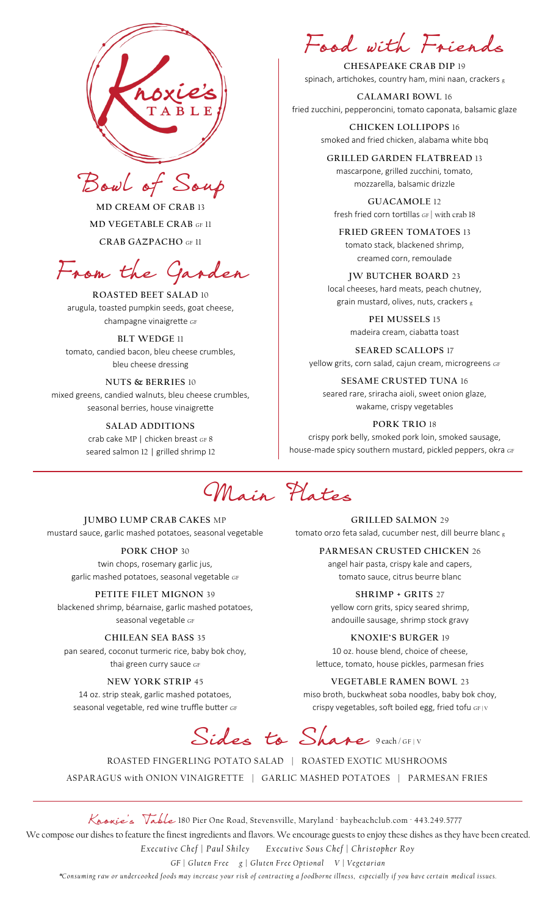



**MD CREAM OF CRAB** 13 **MD VEGETABLE CRAB** GF 11 **CRAB GAZPACHO** GF 11

From the Garden

**ROASTED BEET SALAD** 10 arugula, toasted pumpkin seeds, goat cheese, champagne vinaigrette GF

### **BLT WEDGE** 11

tomato, candied bacon, bleu cheese crumbles, bleu cheese dressing

**NUTS & BERRIES** 10 mixed greens, candied walnuts, bleu cheese crumbles, seasonal berries, house vinaigrette

#### **SALAD ADDITIONS**

crab cake MP | chicken breast GF 8 seared salmon 12 | grilled shrimp 12

Food with Friends

**CHESAPEAKE CRAB DIP** 19 spinach, artichokes, country ham, mini naan, crackers <sup>g</sup>

**CALAMARI BOWL** 16 fried zucchini, pepperoncini, tomato caponata, balsamic glaze

> **CHICKEN LOLLIPOPS** 16 smoked and fried chicken, alabama white bbq

**GRILLED GARDEN FLATBREAD** 13 mascarpone, grilled zucchini, tomato, mozzarella, balsamic drizzle

**GUACAMOLE** 12 fresh fried corn tortillas GF | with crab 18

**FRIED GREEN TOMATOES** 13 tomato stack, blackened shrimp, creamed corn, remoulade

**JW BUTCHER BOARD** 23 local cheeses, hard meats, peach chutney, grain mustard, olives, nuts, crackers <sup>g</sup>

> **PEI MUSSELS** 15 madeira cream, ciabatta toast

**SEARED SCALLOPS** 17 yellow grits, corn salad, cajun cream, microgreens GF

**SESAME CRUSTED TUNA** 16 seared rare, sriracha aioli, sweet onion glaze, wakame, crispy vegetables

**PORK TRIO** 18 crispy pork belly, smoked pork loin, smoked sausage, house-made spicy southern mustard, pickled peppers, okra GF

Main Plates

**JUMBO LUMP CRAB CAKES** MP mustard sauce, garlic mashed potatoes, seasonal vegetable

> **PORK CHOP** 30 twin chops, rosemary garlic jus, garlic mashed potatoes, seasonal vegetable GF

**PETITE FILET MIGNON** 39 blackened shrimp, béarnaise, garlic mashed potatoes, seasonal vegetable GF

**CHILEAN SEA BASS** 35 pan seared, coconut turmeric rice, baby bok choy, thai green curry sauce GF

### **NEW YORK STRIP** 45

14 oz. strip steak, garlic mashed potatoes, seasonal vegetable, red wine truffle butter GF

**GRILLED SALMON** 29 tomato orzo feta salad, cucumber nest, dill beurre blanc <sup>g</sup>

> **PARMESAN CRUSTED CHICKEN** 26 angel hair pasta, crispy kale and capers,

tomato sauce, citrus beurre blanc

**SHRIMP + GRITS** 27 yellow corn grits, spicy seared shrimp, andouille sausage, shrimp stock gravy

**KNOXIE'S BURGER** 19 10 oz. house blend, choice of cheese, lettuce, tomato, house pickles, parmesan fries

**VEGETABLE RAMEN BOWL** 23

miso broth, buckwheat soba noodles, baby bok choy, crispy vegetables, soft boiled egg, fried tofu GF *|* <sup>V</sup>

Sides to Share 9 each/GF/V

ROASTED FINGERLING POTATO SALAD | ROASTED EXOTIC MUSHROOMS ASPARAGUS with ONION VINAIGRETTE | GARLIC MASHED POTATOES | PARMESAN FRIES

Knonie's Table 180 Pier One Road, Stevensville, Maryland ∙ baybeachclub.com ∙ 443.249.5777 We compose our dishes to feature the finest ingredients and flavors. We encourage guests to enjoy these dishes as they have been created. *Executive Chef | Paul Shiley Executive Sous Chef | Christopher Roy GF* | Gluten Free g | Gluten Free Optional V | Vegetarian

*\*C on su ming r aw or u nder c ooked f oods m a y in cr eas e y our ris k of c ontr ac t ing a f oodb orne i ll ness, esp e ci al l y if y ou h av e c ert ain m edi c al iss ues.*